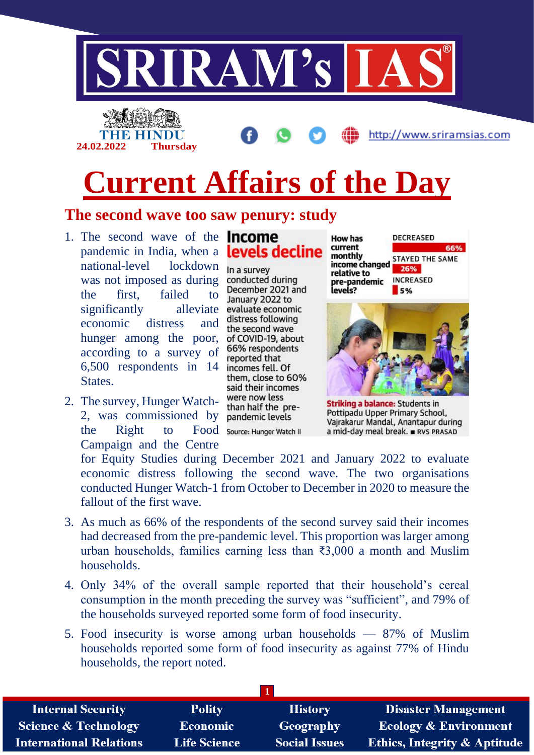

# **Current Affairs of the Day**

### **The second wave too saw penury: study**

- 1. The second wave of the **Income** pandemic in India, when a **levels decline** national-level lockdown was not imposed as during the first, failed to significantly alleviate economic distress and hunger among the poor, according to a survey of 6,500 respondents in 14 States.
- 2. The survey, Hunger Watch-2, was commissioned by pandemic levels the Right to Food Source: Hunger Watch II Campaign and the Centre

In a survey conducted during December 2021 and January 2022 to evaluate economic distress following the second wave of COVID-19, about 66% respondents reported that incomes fell. Of them, close to 60% said their incomes were now less than half the pre-

**DECREASED How has** current 66% monthly **STAYED THE SAME** income changed 26% relative to **INCREASED** pre-pandemic levels?  $5%$ 



**Striking a balance:** Students in Pottipadu Upper Primary School, Vajrakarur Mandal, Anantapur during a mid-day meal break. RVS PRASAD

for Equity Studies during December 2021 and January 2022 to evaluate economic distress following the second wave. The two organisations conducted Hunger Watch-1 from October to December in 2020 to measure the fallout of the first wave.

- 3. As much as 66% of the respondents of the second survey said their incomes had decreased from the pre-pandemic level. This proportion was larger among urban households, families earning less than ₹3,000 a month and Muslim households.
- 4. Only 34% of the overall sample reported that their household's cereal consumption in the month preceding the survey was "sufficient", and 79% of the households surveyed reported some form of food insecurity.
- 5. Food insecurity is worse among urban households 87% of Muslim households reported some form of food insecurity as against 77% of Hindu households, the report noted.

| <b>Internal Security</b>        | <b>Polity</b>       | <b>History</b>       | <b>Disaster Management</b>              |
|---------------------------------|---------------------|----------------------|-----------------------------------------|
| <b>Science &amp; Technology</b> | Economic            | Geography            | <b>Ecology &amp; Environment</b>        |
| <b>International Relations</b>  | <b>Life Science</b> | <b>Social Issues</b> | <b>Ethics, Integrity &amp; Aptitude</b> |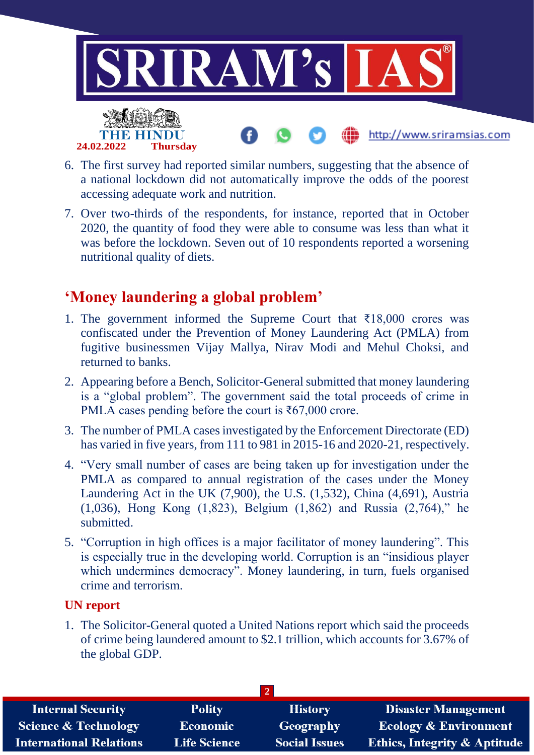

- 6. The first survey had reported similar numbers, suggesting that the absence of a national lockdown did not automatically improve the odds of the poorest accessing adequate work and nutrition.
- 7. Over two-thirds of the respondents, for instance, reported that in October 2020, the quantity of food they were able to consume was less than what it was before the lockdown. Seven out of 10 respondents reported a worsening nutritional quality of diets.

# **'Money laundering a global problem'**

- 1. The government informed the Supreme Court that  $\overline{\xi}18,000$  crores was confiscated under the Prevention of Money Laundering Act (PMLA) from fugitive businessmen Vijay Mallya, Nirav Modi and Mehul Choksi, and returned to banks.
- 2. Appearing before a Bench, Solicitor-General submitted that money laundering is a "global problem". The government said the total proceeds of crime in PMLA cases pending before the court is  $\text{\textless}67,000$  crore.
- 3. The number of PMLA cases investigated by the Enforcement Directorate (ED) has varied in five years, from 111 to 981 in 2015-16 and 2020-21, respectively.
- 4. "Very small number of cases are being taken up for investigation under the PMLA as compared to annual registration of the cases under the Money Laundering Act in the UK (7,900), the U.S. (1,532), China (4,691), Austria (1,036), Hong Kong (1,823), Belgium (1,862) and Russia (2,764)," he submitted.
- 5. "Corruption in high offices is a major facilitator of money laundering". This is especially true in the developing world. Corruption is an "insidious player which undermines democracy". Money laundering, in turn, fuels organised crime and terrorism.

#### **UN report**

1. The Solicitor-General quoted a United Nations report which said the proceeds of crime being laundered amount to \$2.1 trillion, which accounts for 3.67% of the global GDP.

| <b>Internal Security</b>        | <b>Polity</b>       | <b>History</b>       | Disaster Management                     |  |  |
|---------------------------------|---------------------|----------------------|-----------------------------------------|--|--|
| <b>Science &amp; Technology</b> | <b>Economic</b>     | <b>Geography</b>     | <b>Ecology &amp; Environment</b>        |  |  |
| <b>International Relations</b>  | <b>Life Science</b> | <b>Social Issues</b> | <b>Ethics, Integrity &amp; Aptitude</b> |  |  |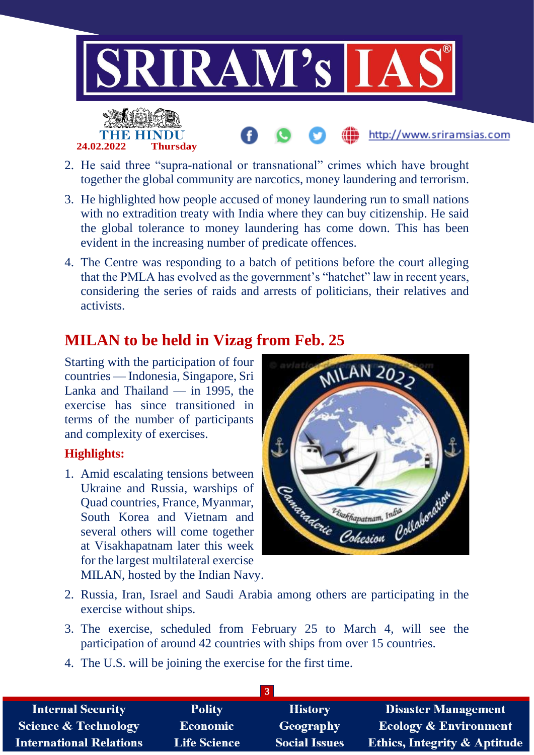

- 2. He said three "supra-national or transnational" crimes which have brought together the global community are narcotics, money laundering and terrorism.
- 3. He highlighted how people accused of money laundering run to small nations with no extradition treaty with India where they can buy citizenship. He said the global tolerance to money laundering has come down. This has been evident in the increasing number of predicate offences.
- 4. The Centre was responding to a batch of petitions before the court alleging that the PMLA has evolved as the government's "hatchet" law in recent years, considering the series of raids and arrests of politicians, their relatives and activists.

## **MILAN to be held in Vizag from Feb. 25**

Starting with the participation of four countries — Indonesia, Singapore, Sri Lanka and Thailand — in 1995, the exercise has since transitioned in terms of the number of participants and complexity of exercises.

#### **Highlights:**

1. Amid escalating tensions between Ukraine and Russia, warships of Quad countries, France, Myanmar, South Korea and Vietnam and several others will come together at Visakhapatnam later this week for the largest multilateral exercise MILAN, hosted by the Indian Navy.



- 2. Russia, Iran, Israel and Saudi Arabia among others are participating in the exercise without ships.
- 3. The exercise, scheduled from February 25 to March 4, will see the participation of around 42 countries with ships from over 15 countries.
- 4. The U.S. will be joining the exercise for the first time.

| <b>Internal Security</b>        | <b>Polity</b>       | <b>History</b>       | <b>Disaster Management</b>              |  |
|---------------------------------|---------------------|----------------------|-----------------------------------------|--|
| <b>Science &amp; Technology</b> | Economic            | Geography            | <b>Ecology &amp; Environment</b>        |  |
| <b>International Relations</b>  | <b>Life Science</b> | <b>Social Issues</b> | <b>Ethics, Integrity &amp; Aptitude</b> |  |